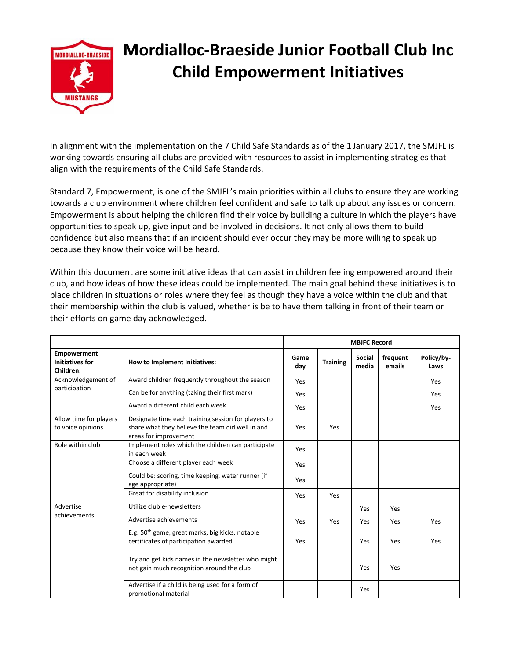

## **Mordialloc‐Braeside Junior Football Club Inc Child Empowerment Initiatives**

In alignment with the implementation on the 7 Child Safe Standards as of the 1 January 2017, the SMJFL is working towards ensuring all clubs are provided with resources to assist in implementing strategies that align with the requirements of the Child Safe Standards.

Standard 7, Empowerment, is one of the SMJFL's main priorities within all clubs to ensure they are working towards a club environment where children feel confident and safe to talk up about any issues or concern. Empowerment is about helping the children find their voice by building a culture in which the players have opportunities to speak up, give input and be involved in decisions. It not only allows them to build confidence but also means that if an incident should ever occur they may be more willing to speak up because they know their voice will be heard.

Within this document are some initiative ideas that can assist in children feeling empowered around their club, and how ideas of how these ideas could be implemented. The main goal behind these initiatives is to place children in situations or roles where they feel as though they have a voice within the club and that their membership within the club is valued, whether is be to have them talking in front of their team or their efforts on game day acknowledged.

|                                                           |                                                                                                                                  | <b>MBJFC Record</b> |                 |                        |                    |                    |
|-----------------------------------------------------------|----------------------------------------------------------------------------------------------------------------------------------|---------------------|-----------------|------------------------|--------------------|--------------------|
| <b>Empowerment</b><br><b>Initiatives for</b><br>Children: | How to Implement Initiatives:                                                                                                    | Game<br>day         | <b>Training</b> | <b>Social</b><br>media | frequent<br>emails | Policy/by-<br>Laws |
| Acknowledgement of<br>participation                       | Award children frequently throughout the season                                                                                  | Yes                 |                 |                        |                    | Yes                |
|                                                           | Can be for anything (taking their first mark)                                                                                    | Yes                 |                 |                        |                    | Yes                |
|                                                           | Award a different child each week                                                                                                | Yes                 |                 |                        |                    | Yes                |
| Allow time for players<br>to voice opinions               | Designate time each training session for players to<br>share what they believe the team did well in and<br>areas for improvement | Yes                 | Yes             |                        |                    |                    |
| Role within club                                          | Implement roles which the children can participate<br>in each week                                                               | Yes                 |                 |                        |                    |                    |
|                                                           | Choose a different player each week                                                                                              | Yes                 |                 |                        |                    |                    |
|                                                           | Could be: scoring, time keeping, water runner (if<br>age appropriate)                                                            | Yes                 |                 |                        |                    |                    |
|                                                           | Great for disability inclusion                                                                                                   | Yes                 | Yes             |                        |                    |                    |
| Advertise<br>achievements                                 | Utilize club e-newsletters                                                                                                       |                     |                 | Yes                    | <b>Yes</b>         |                    |
|                                                           | Advertise achievements                                                                                                           | Yes                 | Yes             | Yes                    | Yes                | Yes                |
|                                                           | E.g. 50 <sup>th</sup> game, great marks, big kicks, notable<br>certificates of participation awarded                             | Yes                 |                 | Yes                    | Yes                | Yes                |
|                                                           | Try and get kids names in the newsletter who might<br>not gain much recognition around the club                                  |                     |                 | Yes                    | Yes                |                    |
|                                                           | Advertise if a child is being used for a form of<br>promotional material                                                         |                     |                 | Yes                    |                    |                    |